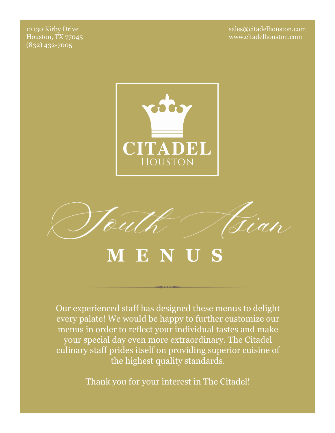12130 Kirby Drive Houston, TX 77045 (832) 432-7005

sales@citadelhouston.com www.citadelhouston.com



# **M E N U S**

Our experienced staff has designed these menus to delight every palate! We would be happy to further customize our menus in order to reflect your individual tastes and make your special day even more extraordinary. The Citadel culinary staff prides itself on providing superior cuisine of the highest quality standards.

Thank you for your interest in The Citadel!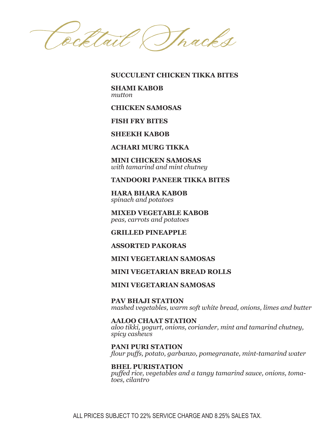Roftail Thacks

**SUCCULENT CHICKEN TIKKA BITES**

**SHAMI KABOB**  *mutton*

**CHICKEN SAMOSAS**

**FISH FRY BITES**

**SHEEKH KABOB**

**ACHARI MURG TIKKA**

**MINI CHICKEN SAMOSAS**  *with tamarind and mint chutney*

**TANDOORI PANEER TIKKA BITES**

**HARA BHARA KABOB**  *spinach and potatoes*

**MIXED VEGETABLE KABOB**  *peas, carrots and potatoes*

**GRILLED PINEAPPLE**

**ASSORTED PAKORAS**

**MINI VEGETARIAN SAMOSAS**

**MINI VEGETARIAN BREAD ROLLS**

**MINI VEGETARIAN SAMOSAS**

**PAV BHAJI STATION** *mashed vegetables, warm soft white bread, onions, limes and butter*

**AALOO CHAAT STATION** *aloo tikki, yogurt, onions, coriander, mint and tamarind chutney, spicy cashews*

**PANI PURI STATION** *flour puffs, potato, garbanzo, pomegranate, mint-tamarind water*

**BHEL PURISTATION** *puffed rice, vegetables and a tangy tamarind sauce, onions, tomatoes, cilantro*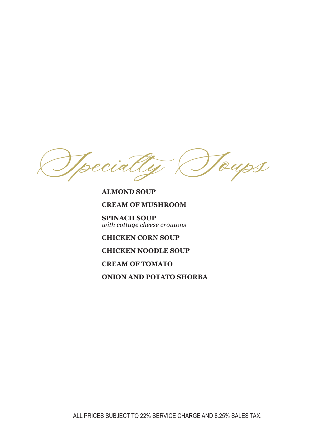Toups Ipecial

## **ALMOND SOUP**

## **CREAM OF MUSHROOM**

**SPINACH SOUP**  *with cottage cheese croutons*

**CHICKEN CORN SOUP**

# **CHICKEN NOODLE SOUP**

#### **CREAM OF TOMATO**

**ONION AND POTATO SHORBA**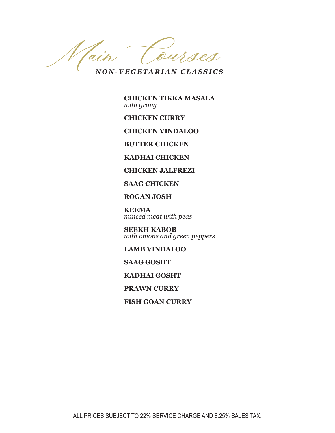Courses Wain

*NON-VEGETARIAN CLASSICS*

**CHICKEN TIKKA MASALA**  *with gravy*

**CHICKEN CURRY**

**CHICKEN VINDALOO**

**BUTTER CHICKEN**

**KADHAI CHICKEN**

**CHICKEN JALFREZI**

**SAAG CHICKEN**

**ROGAN JOSH**

**KEEMA**  *minced meat with peas*

**SEEKH KABOB**  *with onions and green peppers*

**LAMB VINDALOO**

**SAAG GOSHT**

**KADHAI GOSHT**

**PRAWN CURRY**

**FISH GOAN CURRY**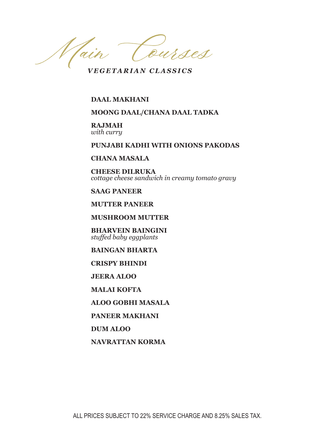Main eurses

*VEGETARIAN CLASSICS*

**DAAL MAKHANI**

## **MOONG DAAL/CHANA DAAL TADKA**

#### **RAJMAH**  *with curry*

#### **PUNJABI KADHI WITH ONIONS PAKODAS**

#### **CHANA MASALA**

**CHEESE DILRUKA**  *cottage cheese sandwich in creamy tomato gravy*

#### **SAAG PANEER**

**MUTTER PANEER**

**MUSHROOM MUTTER**

**BHARVEIN BAINGINI**  *stuffed baby eggplants*

# **BAINGAN BHARTA**

**CRISPY BHINDI**

**JEERA ALOO**

**MALAI KOFTA**

**ALOO GOBHI MASALA**

**PANEER MAKHANI**

**DUM ALOO**

**NAVRATTAN KORMA**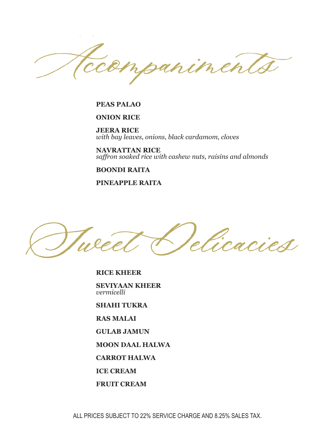inen

#### **PEAS PALAO**

### **ONION RICE**

**JEERA RICE**  *with bay leaves, onions, black cardamom, cloves*

**NAVRATTAN RICE**  *saffron soaked rice with cashew nuts, raisins and almonds*

#### **BOONDI RAITA**

**PINEAPPLE RAITA**

elica

**RICE KHEER**

**SEVIYAAN KHEER**  *vermicelli*

**SHAHI TUKRA**

**RAS MALAI**

**GULAB JAMUN**

**MOON DAAL HALWA**

**CARROT HALWA**

**ICE CREAM**

**FRUIT CREAM**